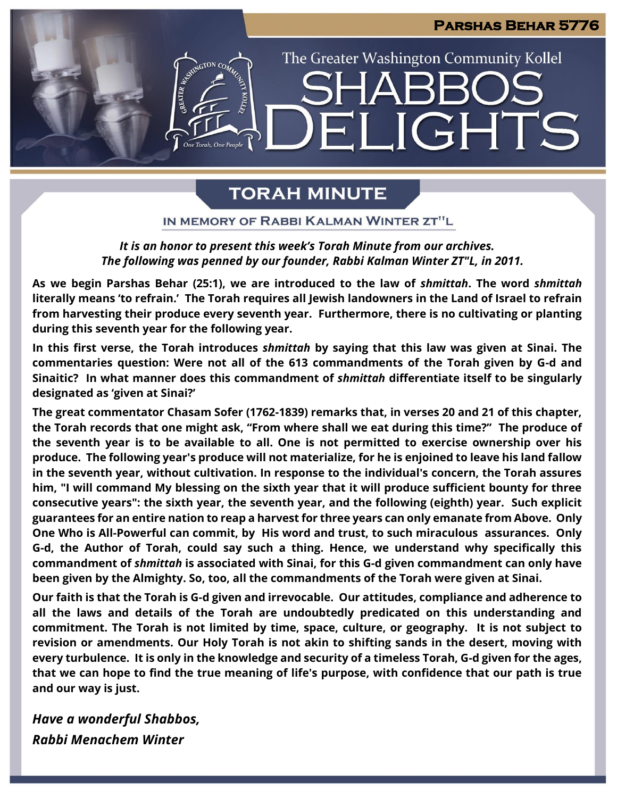**JGHTS** 

The Greater Washington Community Kollel

# **TORAH MINUTE**

 $\blacksquare$ 

IN MEMORY OF RABBI KALMAN WINTER ZT"L

### *It is an honor to present this week's Torah Minute from our archives. The following was penned by our founder, Rabbi Kalman Winter ZT"L, in 2011.*

**As we begin Parshas Behar (25:1), we are introduced to the law of** *shmittah***. The word** *shmittah* **literally means 'to refrain.' The Torah requires all Jewish landowners in the Land of Israel to refrain from harvesting their produce every seventh year. Furthermore, there is no cultivating or planting during this seventh year for the following year.** 

**In this first verse, the Torah introduces** *shmittah* **by saying that this law was given at Sinai. The commentaries question: Were not all of the 613 commandments of the Torah given by G-d and Sinaitic? In what manner does this commandment of** *shmittah* **differentiate itself to be singularly designated as 'given at Sinai?'**

**The great commentator Chasam Sofer (1762-1839) remarks that, in verses 20 and 21 of this chapter, the Torah records that one might ask, "From where shall we eat during this time?" The produce of the seventh year is to be available to all. One is not permitted to exercise ownership over his produce. The following year's produce will not materialize, for he is enjoined to leave his land fallow in the seventh year, without cultivation. In response to the individual's concern, the Torah assures him, "I will command My blessing on the sixth year that it will produce sufficient bounty for three consecutive years": the sixth year, the seventh year, and the following (eighth) year. Such explicit guarantees for an entire nation to reap a harvest for three years can only emanate from Above. Only One Who is All-Powerful can commit, by His word and trust, to such miraculous assurances. Only G-d, the Author of Torah, could say such a thing. Hence, we understand why specifically this commandment of** *shmittah* **is associated with Sinai, for this G-d given commandment can only have been given by the Almighty. So, too, all the commandments of the Torah were given at Sinai.**

**Our faith is that the Torah is G-d given and irrevocable. Our attitudes, compliance and adherence to all the laws and details of the Torah are undoubtedly predicated on this understanding and commitment. The Torah is not limited by time, space, culture, or geography. It is not subject to revision or amendments. Our Holy Torah is not akin to shifting sands in the desert, moving with every turbulence. It is only in the knowledge and security of a timeless Torah, G-d given for the ages, that we can hope to find the true meaning of life's purpose, with confidence that our path is true and our way is just.**

*Have a wonderful Shabbos, Rabbi Menachem Winter*